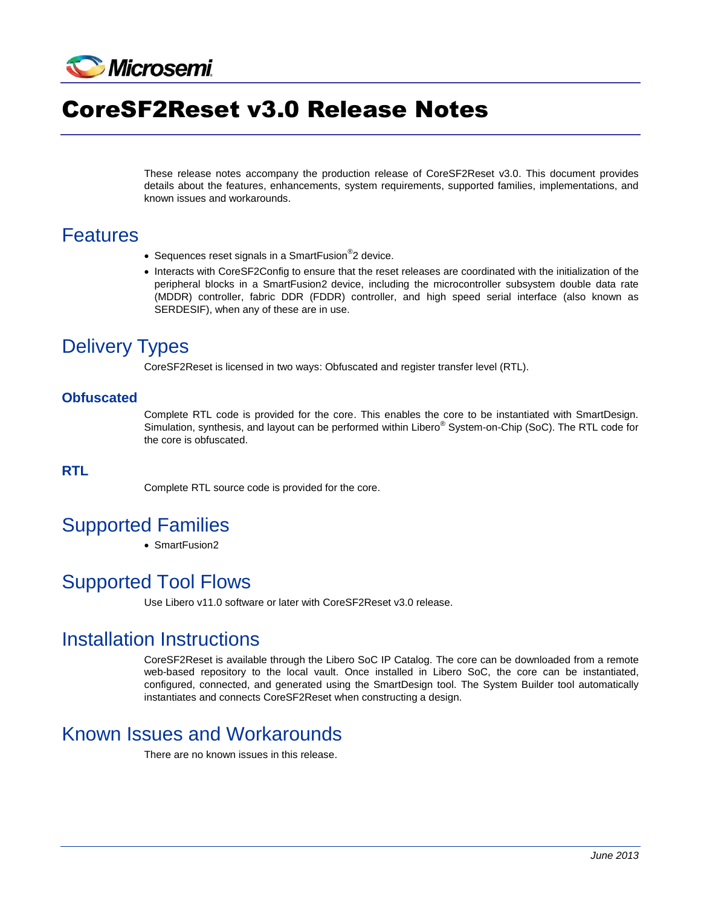

# CoreSF2Reset v3.0 Release Notes

These release notes accompany the production release of CoreSF2Reset v3.0. This document provides details about the features, enhancements, system requirements, supported families, implementations, and known issues and workarounds.

#### Features

- Sequences reset signals in a SmartFusion®2 device.
- Interacts with CoreSF2Config to ensure that the reset releases are coordinated with the initialization of the peripheral blocks in a SmartFusion2 device, including the microcontroller subsystem double data rate (MDDR) controller, fabric DDR (FDDR) controller, and high speed serial interface (also known as SERDESIF), when any of these are in use.

### Delivery Types

CoreSF2Reset is licensed in two ways: Obfuscated and register transfer level (RTL).

#### **Obfuscated**

Complete RTL code is provided for the core. This enables the core to be instantiated with SmartDesign. Simulation, synthesis, and layout can be performed within Libero® System-on-Chip (SoC). The RTL code for the core is obfuscated.

#### **RTL**

Complete RTL source code is provided for the core.

### Supported Families

• SmartFusion2

### Supported Tool Flows

Use Libero v11.0 software or later with CoreSF2Reset v3.0 release.

#### Installation Instructions

CoreSF2Reset is available through the Libero SoC IP Catalog. The core can be downloaded from a remote web-based repository to the local vault. Once installed in Libero SoC, the core can be instantiated, configured, connected, and generated using the SmartDesign tool. The System Builder tool automatically instantiates and connects CoreSF2Reset when constructing a design.

#### Known Issues and Workarounds

There are no known issues in this release.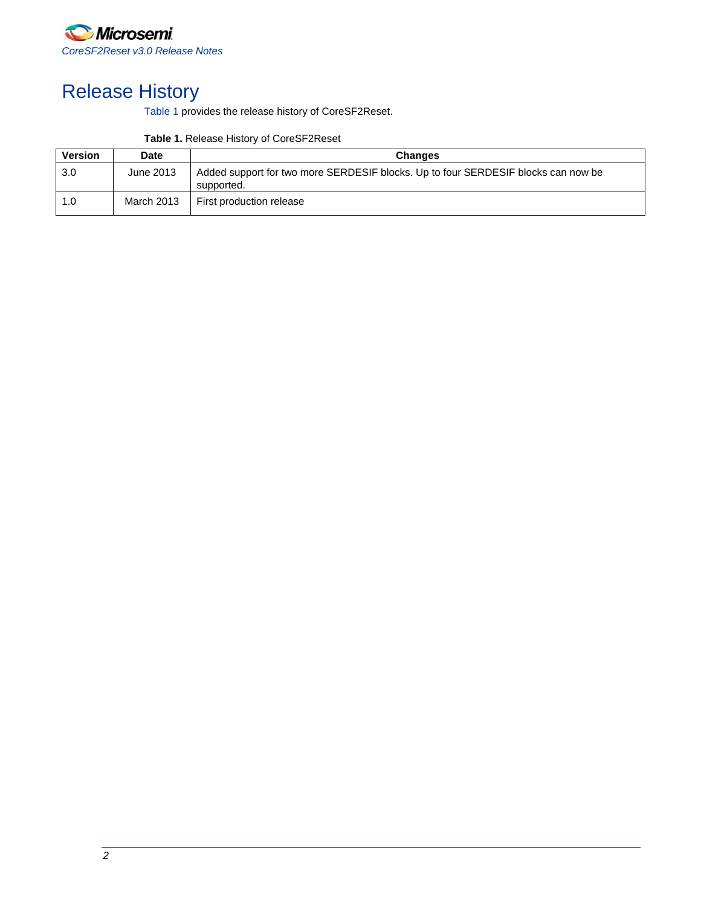

## Release History

[Table 1](#page-1-0) provides the release history of CoreSF2Reset.

<span id="page-1-0"></span>

| <b>Version</b> | <b>Date</b> | <b>Changes</b>                                                                                  |
|----------------|-------------|-------------------------------------------------------------------------------------------------|
| 3.0            | June 2013   | Added support for two more SERDESIF blocks. Up to four SERDESIF blocks can now be<br>supported. |
| 1.0            | March 2013  | First production release                                                                        |